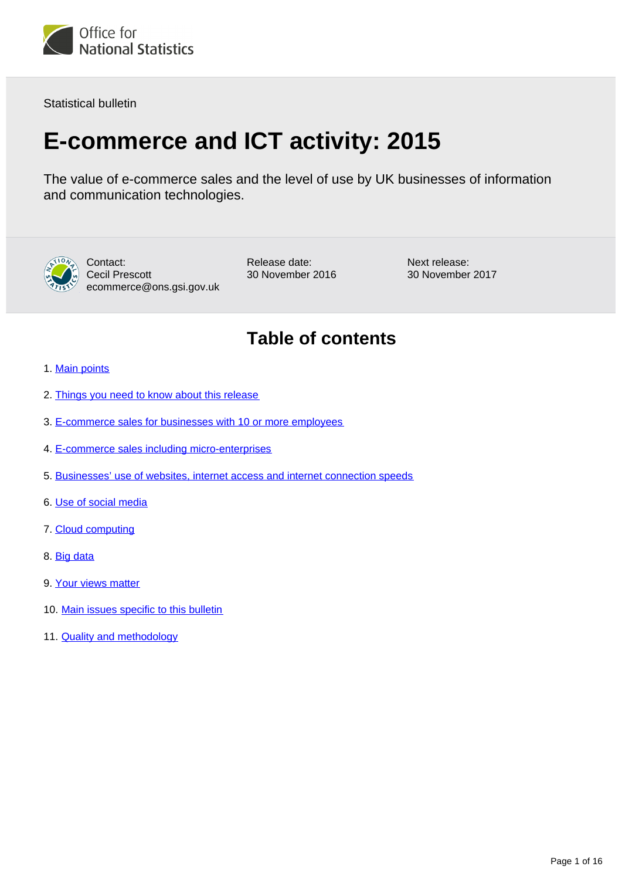

Statistical bulletin

# **E-commerce and ICT activity: 2015**

The value of e-commerce sales and the level of use by UK businesses of information and communication technologies.



Contact: Cecil Prescott ecommerce@ons.gsi.gov.uk Release date: 30 November 2016 Next release: 30 November 2017

## **Table of contents**

- 1. [Main points](#page-1-0)
- 2. [Things you need to know about this release](#page-1-1)
- 3. [E-commerce sales for businesses with 10 or more employees](#page-2-0)
- 4. [E-commerce sales including micro-enterprises](#page-6-0)
- 5. [Businesses' use of websites, internet access and internet connection speeds](#page-8-0)
- 6. [Use of social media](#page-10-0)
- 7. [Cloud computing](#page-10-1)
- 8. [Big data](#page-11-0)
- 9. [Your views matter](#page-11-1)
- 10. [Main issues specific to this bulletin](#page-11-2)
- 11. [Quality and methodology](#page-12-0)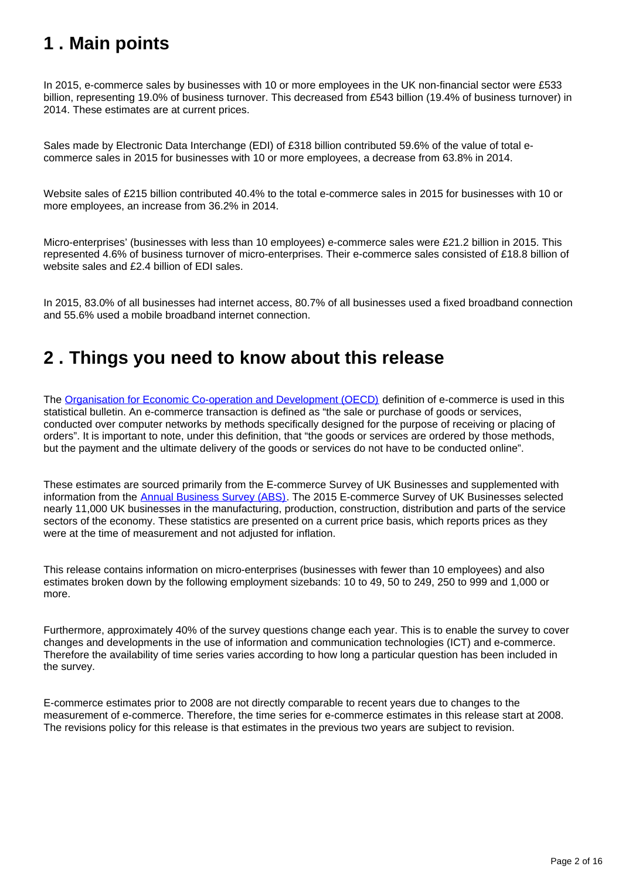## <span id="page-1-0"></span>**1 . Main points**

In 2015, e-commerce sales by businesses with 10 or more employees in the UK non-financial sector were £533 billion, representing 19.0% of business turnover. This decreased from £543 billion (19.4% of business turnover) in 2014. These estimates are at current prices.

Sales made by Electronic Data Interchange (EDI) of £318 billion contributed 59.6% of the value of total ecommerce sales in 2015 for businesses with 10 or more employees, a decrease from 63.8% in 2014.

Website sales of £215 billion contributed 40.4% to the total e-commerce sales in 2015 for businesses with 10 or more employees, an increase from 36.2% in 2014.

Micro-enterprises' (businesses with less than 10 employees) e-commerce sales were £21.2 billion in 2015. This represented 4.6% of business turnover of micro-enterprises. Their e-commerce sales consisted of £18.8 billion of website sales and £2.4 billion of EDI sales.

In 2015, 83.0% of all businesses had internet access, 80.7% of all businesses used a fixed broadband connection and 55.6% used a mobile broadband internet connection.

### <span id="page-1-1"></span>**2 . Things you need to know about this release**

The [Organisation for Economic Co-operation and Development \(OECD\)](http://www.google.com/url?sa=t&rct=j&q=oecd&source=web&cd=4&cad=rja&ved=0CDwQFjAD&url=http%3A%2F%2Fwww.oecd.org%2F&ei=VNu0UJzMKMe4hAfswoCIAw&usg=AFQjCNHOvha_Kgd0PZryx-7E0w8swGHlKA) definition of e-commerce is used in this statistical bulletin. An e-commerce transaction is defined as "the sale or purchase of goods or services, conducted over computer networks by methods specifically designed for the purpose of receiving or placing of orders". It is important to note, under this definition, that "the goods or services are ordered by those methods, but the payment and the ultimate delivery of the goods or services do not have to be conducted online".

These estimates are sourced primarily from the E-commerce Survey of UK Businesses and supplemented with information from the **[Annual Business Survey \(ABS\)](https://www.ons.gov.uk/businessindustryandtrade/business/businessservices/methodologies/annualbusinesssurveyabs)**. The 2015 E-commerce Survey of UK Businesses selected nearly 11,000 UK businesses in the manufacturing, production, construction, distribution and parts of the service sectors of the economy. These statistics are presented on a current price basis, which reports prices as they were at the time of measurement and not adjusted for inflation.

This release contains information on micro-enterprises (businesses with fewer than 10 employees) and also estimates broken down by the following employment sizebands: 10 to 49, 50 to 249, 250 to 999 and 1,000 or more.

Furthermore, approximately 40% of the survey questions change each year. This is to enable the survey to cover changes and developments in the use of information and communication technologies (ICT) and e-commerce. Therefore the availability of time series varies according to how long a particular question has been included in the survey.

E-commerce estimates prior to 2008 are not directly comparable to recent years due to changes to the measurement of e-commerce. Therefore, the time series for e-commerce estimates in this release start at 2008. The revisions policy for this release is that estimates in the previous two years are subject to revision.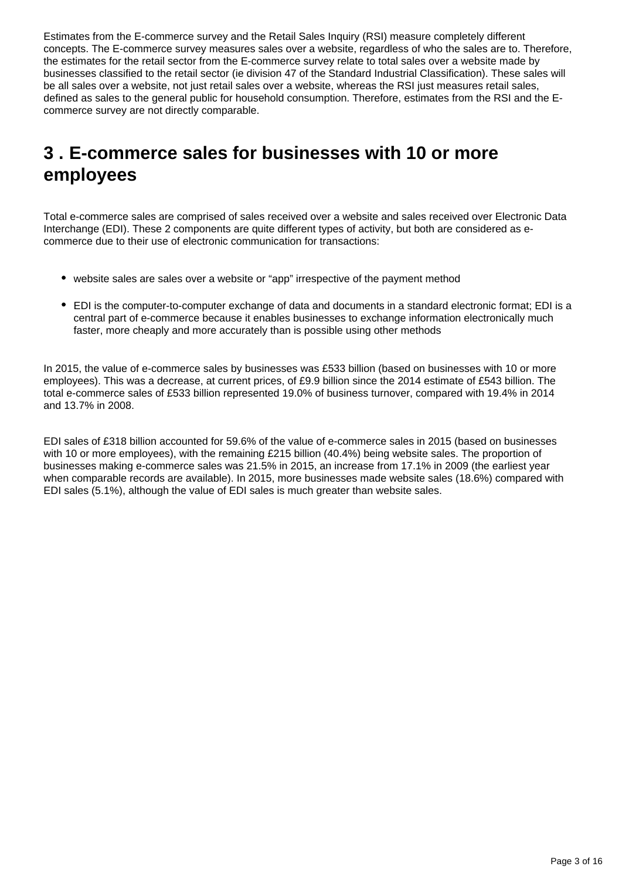Estimates from the E-commerce survey and the Retail Sales Inquiry (RSI) measure completely different concepts. The E-commerce survey measures sales over a website, regardless of who the sales are to. Therefore, the estimates for the retail sector from the E-commerce survey relate to total sales over a website made by businesses classified to the retail sector (ie division 47 of the Standard Industrial Classification). These sales will be all sales over a website, not just retail sales over a website, whereas the RSI just measures retail sales, defined as sales to the general public for household consumption. Therefore, estimates from the RSI and the Ecommerce survey are not directly comparable.

## <span id="page-2-0"></span>**3 . E-commerce sales for businesses with 10 or more employees**

Total e-commerce sales are comprised of sales received over a website and sales received over Electronic Data Interchange (EDI). These 2 components are quite different types of activity, but both are considered as ecommerce due to their use of electronic communication for transactions:

- website sales are sales over a website or "app" irrespective of the payment method
- EDI is the computer-to-computer exchange of data and documents in a standard electronic format; EDI is a central part of e-commerce because it enables businesses to exchange information electronically much faster, more cheaply and more accurately than is possible using other methods

In 2015, the value of e-commerce sales by businesses was £533 billion (based on businesses with 10 or more employees). This was a decrease, at current prices, of £9.9 billion since the 2014 estimate of £543 billion. The total e-commerce sales of £533 billion represented 19.0% of business turnover, compared with 19.4% in 2014 and 13.7% in 2008.

EDI sales of £318 billion accounted for 59.6% of the value of e-commerce sales in 2015 (based on businesses with 10 or more employees), with the remaining £215 billion (40.4%) being website sales. The proportion of businesses making e-commerce sales was 21.5% in 2015, an increase from 17.1% in 2009 (the earliest year when comparable records are available). In 2015, more businesses made website sales (18.6%) compared with EDI sales (5.1%), although the value of EDI sales is much greater than website sales.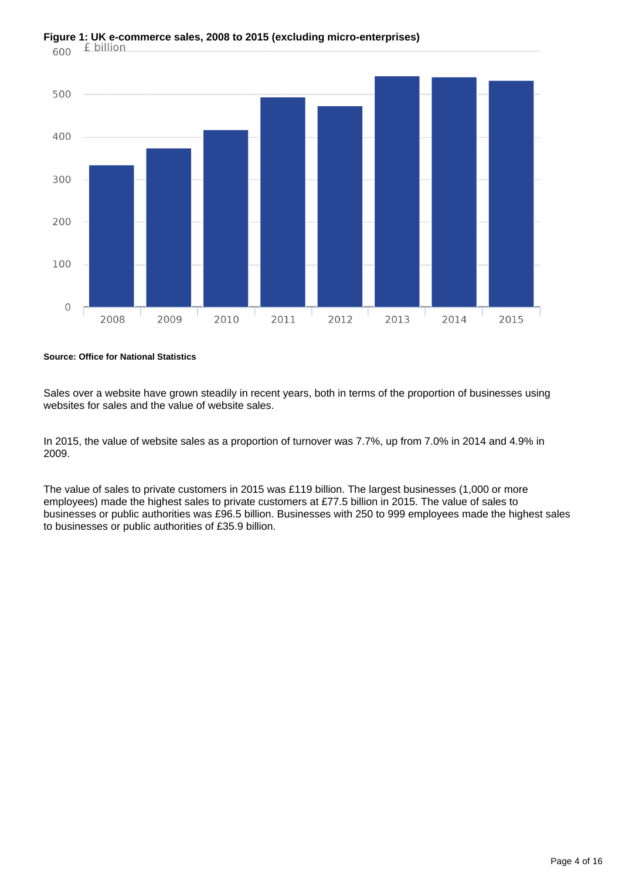

**Source: Office for National Statistics**

Sales over a website have grown steadily in recent years, both in terms of the proportion of businesses using websites for sales and the value of website sales.

In 2015, the value of website sales as a proportion of turnover was 7.7%, up from 7.0% in 2014 and 4.9% in 2009.

The value of sales to private customers in 2015 was £119 billion. The largest businesses (1,000 or more employees) made the highest sales to private customers at £77.5 billion in 2015. The value of sales to businesses or public authorities was £96.5 billion. Businesses with 250 to 999 employees made the highest sales to businesses or public authorities of £35.9 billion.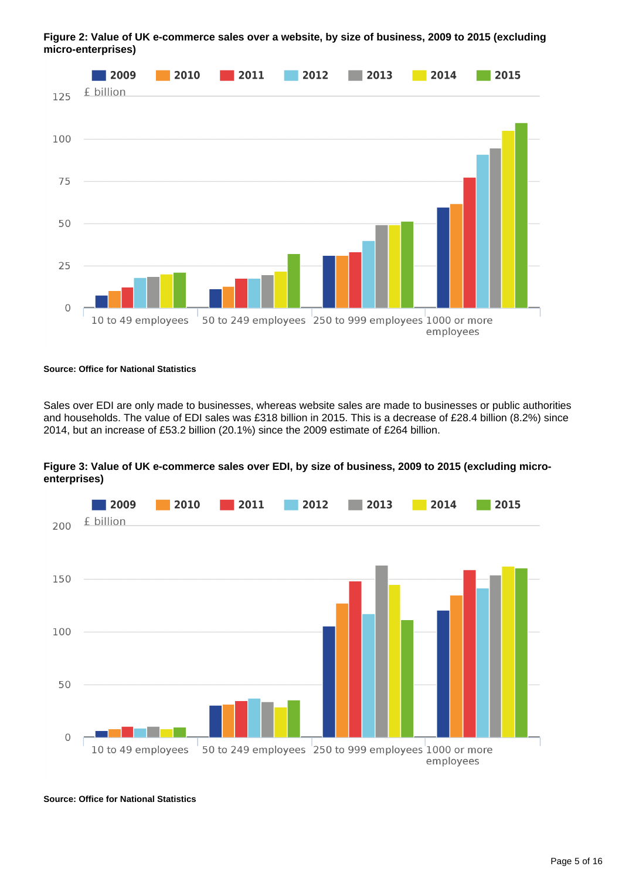

**Figure 2: Value of UK e-commerce sales over a website, by size of business, 2009 to 2015 (excluding micro-enterprises)**

#### **Source: Office for National Statistics**

Sales over EDI are only made to businesses, whereas website sales are made to businesses or public authorities and households. The value of EDI sales was £318 billion in 2015. This is a decrease of £28.4 billion (8.2%) since 2014, but an increase of £53.2 billion (20.1%) since the 2009 estimate of £264 billion.





**Source: Office for National Statistics**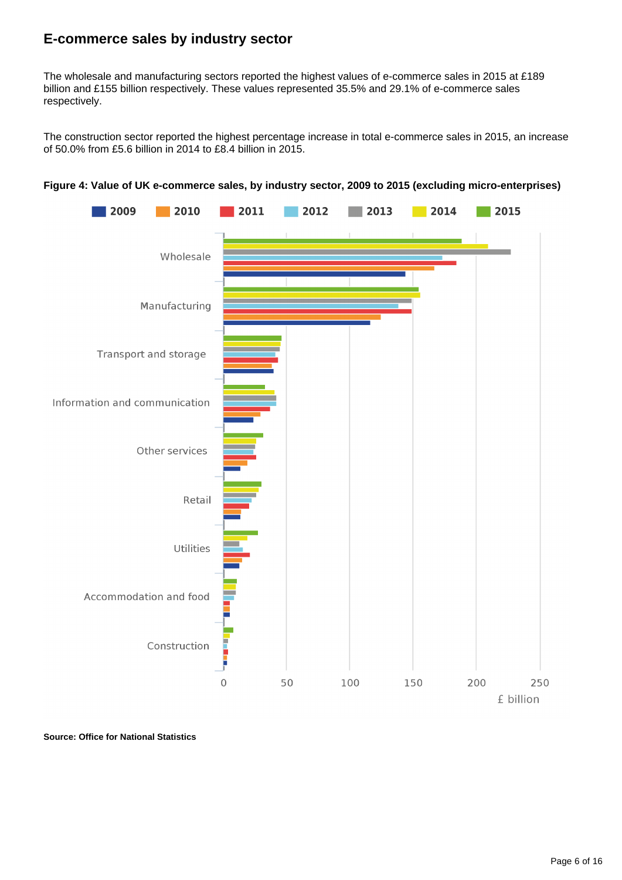### **E-commerce sales by industry sector**

The wholesale and manufacturing sectors reported the highest values of e-commerce sales in 2015 at £189 billion and £155 billion respectively. These values represented 35.5% and 29.1% of e-commerce sales respectively.

The construction sector reported the highest percentage increase in total e-commerce sales in 2015, an increase of 50.0% from £5.6 billion in 2014 to £8.4 billion in 2015.





**Source: Office for National Statistics**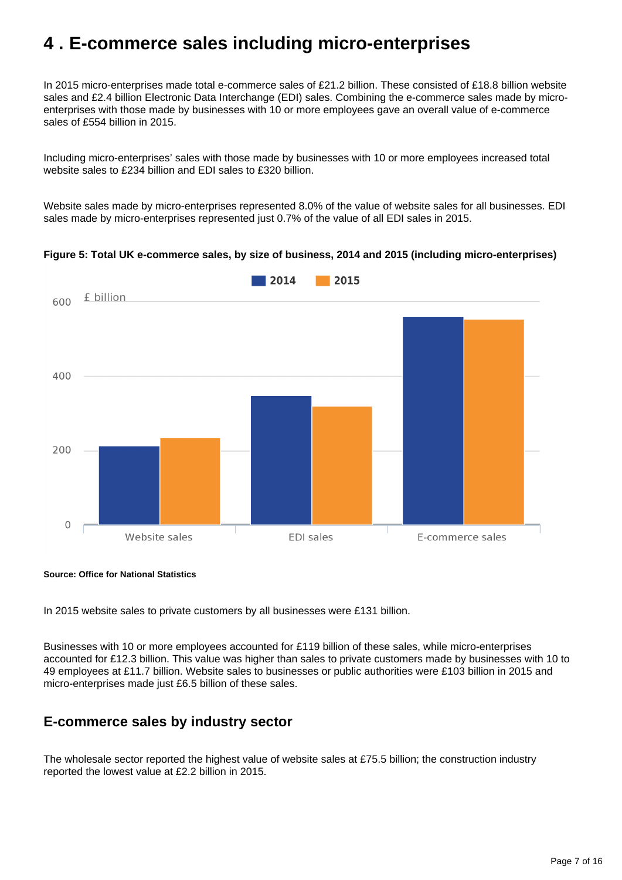### <span id="page-6-0"></span>**4 . E-commerce sales including micro-enterprises**

In 2015 micro-enterprises made total e-commerce sales of £21.2 billion. These consisted of £18.8 billion website sales and £2.4 billion Electronic Data Interchange (EDI) sales. Combining the e-commerce sales made by microenterprises with those made by businesses with 10 or more employees gave an overall value of e-commerce sales of £554 billion in 2015.

Including micro-enterprises' sales with those made by businesses with 10 or more employees increased total website sales to £234 billion and EDI sales to £320 billion.

Website sales made by micro-enterprises represented 8.0% of the value of website sales for all businesses. EDI sales made by micro-enterprises represented just 0.7% of the value of all EDI sales in 2015.

#### **Figure 5: Total UK e-commerce sales, by size of business, 2014 and 2015 (including micro-enterprises)**



**Source: Office for National Statistics**

In 2015 website sales to private customers by all businesses were £131 billion.

Businesses with 10 or more employees accounted for £119 billion of these sales, while micro-enterprises accounted for £12.3 billion. This value was higher than sales to private customers made by businesses with 10 to 49 employees at £11.7 billion. Website sales to businesses or public authorities were £103 billion in 2015 and micro-enterprises made just £6.5 billion of these sales.

### **E-commerce sales by industry sector**

The wholesale sector reported the highest value of website sales at £75.5 billion; the construction industry reported the lowest value at £2.2 billion in 2015.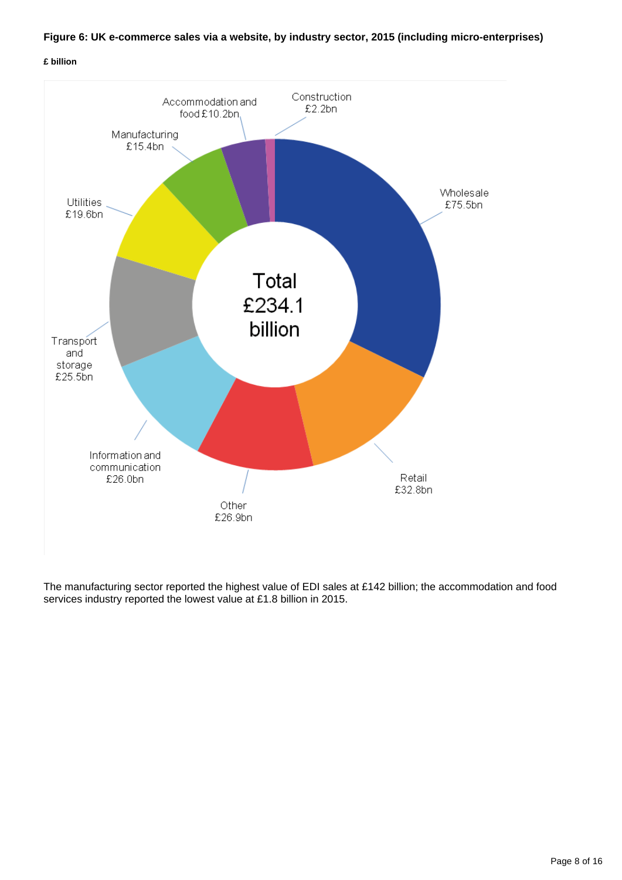#### **Figure 6: UK e-commerce sales via a website, by industry sector, 2015 (including micro-enterprises)**

#### **£ billion**



The manufacturing sector reported the highest value of EDI sales at £142 billion; the accommodation and food services industry reported the lowest value at £1.8 billion in 2015.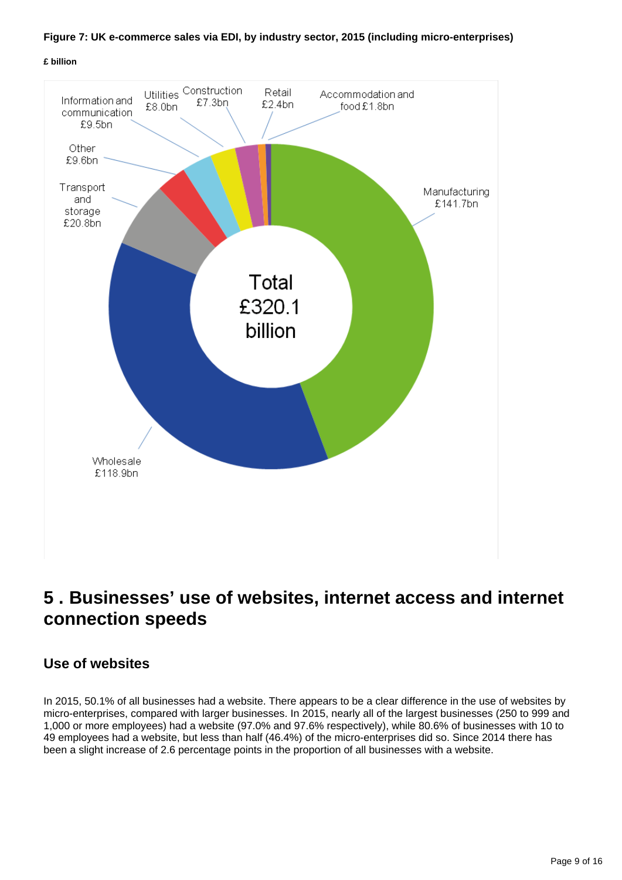

#### **£ billion**



### <span id="page-8-0"></span>**5 . Businesses' use of websites, internet access and internet connection speeds**

### **Use of websites**

In 2015, 50.1% of all businesses had a website. There appears to be a clear difference in the use of websites by micro-enterprises, compared with larger businesses. In 2015, nearly all of the largest businesses (250 to 999 and 1,000 or more employees) had a website (97.0% and 97.6% respectively), while 80.6% of businesses with 10 to 49 employees had a website, but less than half (46.4%) of the micro-enterprises did so. Since 2014 there has been a slight increase of 2.6 percentage points in the proportion of all businesses with a website.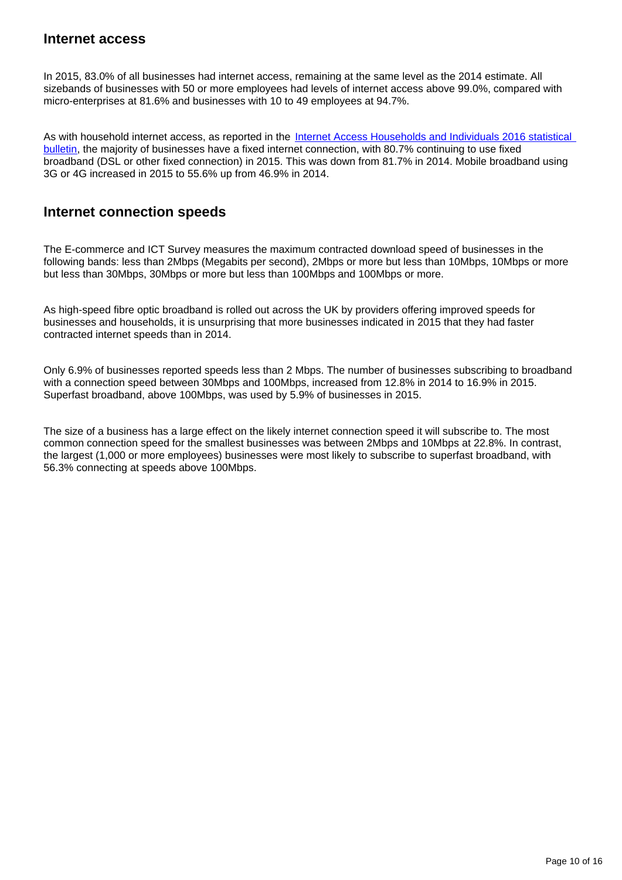#### **Internet access**

In 2015, 83.0% of all businesses had internet access, remaining at the same level as the 2014 estimate. All sizebands of businesses with 50 or more employees had levels of internet access above 99.0%, compared with micro-enterprises at 81.6% and businesses with 10 to 49 employees at 94.7%.

As with household internet access, as reported in the Internet Access Households and Individuals 2016 statistical [bulletin,](https://www.ons.gov.uk/peoplepopulationandcommunity/householdcharacteristics/homeinternetandsocialmediausage/bulletins/internetaccesshouseholdsandindividuals/2016) the majority of businesses have a fixed internet connection, with 80.7% continuing to use fixed broadband (DSL or other fixed connection) in 2015. This was down from 81.7% in 2014. Mobile broadband using 3G or 4G increased in 2015 to 55.6% up from 46.9% in 2014.

### **Internet connection speeds**

The E-commerce and ICT Survey measures the maximum contracted download speed of businesses in the following bands: less than 2Mbps (Megabits per second), 2Mbps or more but less than 10Mbps, 10Mbps or more but less than 30Mbps, 30Mbps or more but less than 100Mbps and 100Mbps or more.

As high-speed fibre optic broadband is rolled out across the UK by providers offering improved speeds for businesses and households, it is unsurprising that more businesses indicated in 2015 that they had faster contracted internet speeds than in 2014.

Only 6.9% of businesses reported speeds less than 2 Mbps. The number of businesses subscribing to broadband with a connection speed between 30Mbps and 100Mbps, increased from 12.8% in 2014 to 16.9% in 2015. Superfast broadband, above 100Mbps, was used by 5.9% of businesses in 2015.

The size of a business has a large effect on the likely internet connection speed it will subscribe to. The most common connection speed for the smallest businesses was between 2Mbps and 10Mbps at 22.8%. In contrast, the largest (1,000 or more employees) businesses were most likely to subscribe to superfast broadband, with 56.3% connecting at speeds above 100Mbps.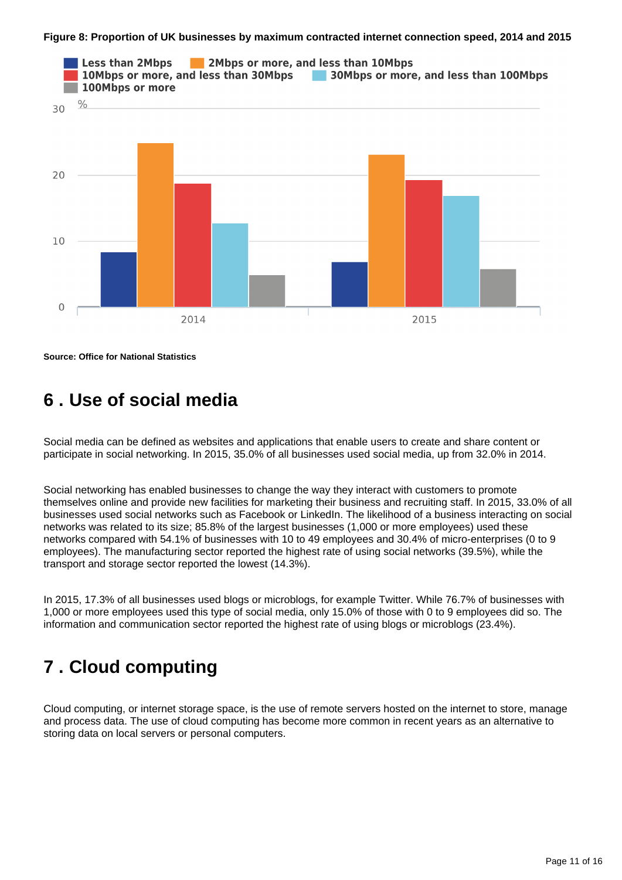#### **Figure 8: Proportion of UK businesses by maximum contracted internet connection speed, 2014 and 2015**



**Source: Office for National Statistics**

### <span id="page-10-0"></span>**6 . Use of social media**

Social media can be defined as websites and applications that enable users to create and share content or participate in social networking. In 2015, 35.0% of all businesses used social media, up from 32.0% in 2014.

Social networking has enabled businesses to change the way they interact with customers to promote themselves online and provide new facilities for marketing their business and recruiting staff. In 2015, 33.0% of all businesses used social networks such as Facebook or LinkedIn. The likelihood of a business interacting on social networks was related to its size; 85.8% of the largest businesses (1,000 or more employees) used these networks compared with 54.1% of businesses with 10 to 49 employees and 30.4% of micro-enterprises (0 to 9 employees). The manufacturing sector reported the highest rate of using social networks (39.5%), while the transport and storage sector reported the lowest (14.3%).

In 2015, 17.3% of all businesses used blogs or microblogs, for example Twitter. While 76.7% of businesses with 1,000 or more employees used this type of social media, only 15.0% of those with 0 to 9 employees did so. The information and communication sector reported the highest rate of using blogs or microblogs (23.4%).

### <span id="page-10-1"></span>**7 . Cloud computing**

Cloud computing, or internet storage space, is the use of remote servers hosted on the internet to store, manage and process data. The use of cloud computing has become more common in recent years as an alternative to storing data on local servers or personal computers.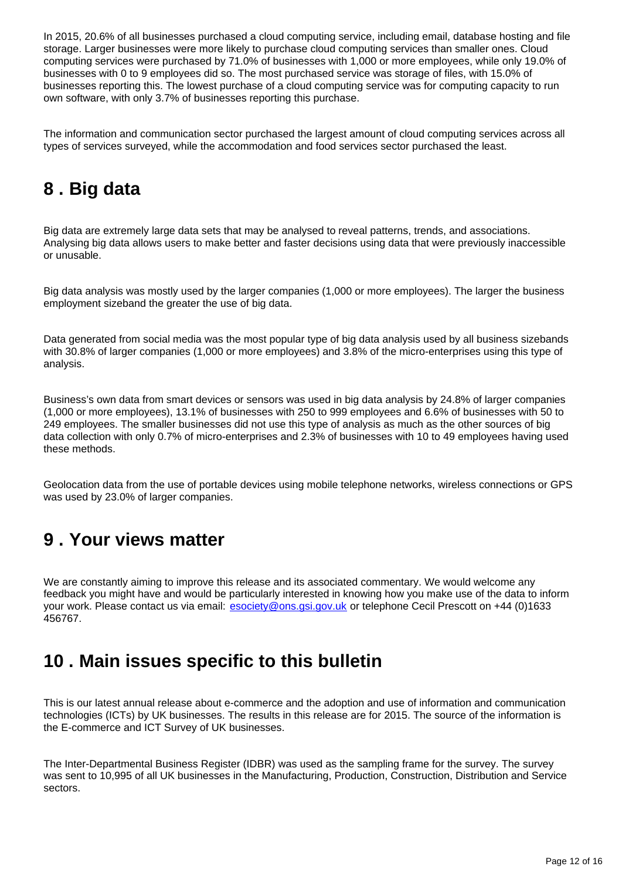In 2015, 20.6% of all businesses purchased a cloud computing service, including email, database hosting and file storage. Larger businesses were more likely to purchase cloud computing services than smaller ones. Cloud computing services were purchased by 71.0% of businesses with 1,000 or more employees, while only 19.0% of businesses with 0 to 9 employees did so. The most purchased service was storage of files, with 15.0% of businesses reporting this. The lowest purchase of a cloud computing service was for computing capacity to run own software, with only 3.7% of businesses reporting this purchase.

The information and communication sector purchased the largest amount of cloud computing services across all types of services surveyed, while the accommodation and food services sector purchased the least.

## <span id="page-11-0"></span>**8 . Big data**

Big data are extremely large data sets that may be analysed to reveal patterns, trends, and associations. Analysing big data allows users to make better and faster decisions using data that were previously inaccessible or unusable.

Big data analysis was mostly used by the larger companies (1,000 or more employees). The larger the business employment sizeband the greater the use of big data.

Data generated from social media was the most popular type of big data analysis used by all business sizebands with 30.8% of larger companies (1,000 or more employees) and 3.8% of the micro-enterprises using this type of analysis.

Business's own data from smart devices or sensors was used in big data analysis by 24.8% of larger companies (1,000 or more employees), 13.1% of businesses with 250 to 999 employees and 6.6% of businesses with 50 to 249 employees. The smaller businesses did not use this type of analysis as much as the other sources of big data collection with only 0.7% of micro-enterprises and 2.3% of businesses with 10 to 49 employees having used these methods.

Geolocation data from the use of portable devices using mobile telephone networks, wireless connections or GPS was used by 23.0% of larger companies.

### <span id="page-11-1"></span>**9 . Your views matter**

We are constantly aiming to improve this release and its associated commentary. We would welcome any feedback you might have and would be particularly interested in knowing how you make use of the data to inform your work. Please contact us via email: esociety@ons.gsi.gov.uk or telephone Cecil Prescott on +44 (0)1633 456767.

### <span id="page-11-2"></span>**10 . Main issues specific to this bulletin**

This is our latest annual release about e-commerce and the adoption and use of information and communication technologies (ICTs) by UK businesses. The results in this release are for 2015. The source of the information is the E-commerce and ICT Survey of UK businesses.

The Inter-Departmental Business Register (IDBR) was used as the sampling frame for the survey. The survey was sent to 10,995 of all UK businesses in the Manufacturing, Production, Construction, Distribution and Service sectors.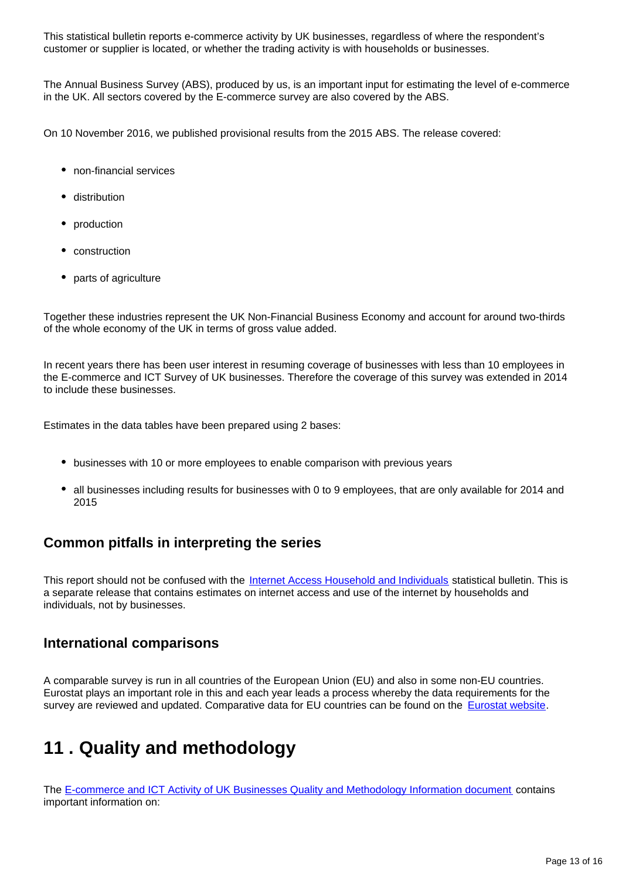This statistical bulletin reports e-commerce activity by UK businesses, regardless of where the respondent's customer or supplier is located, or whether the trading activity is with households or businesses.

The Annual Business Survey (ABS), produced by us, is an important input for estimating the level of e-commerce in the UK. All sectors covered by the E-commerce survey are also covered by the ABS.

On 10 November 2016, we published provisional results from the 2015 ABS. The release covered:

- non-financial services
- distribution
- production
- construction
- parts of agriculture

Together these industries represent the UK Non-Financial Business Economy and account for around two-thirds of the whole economy of the UK in terms of gross value added.

In recent years there has been user interest in resuming coverage of businesses with less than 10 employees in the E-commerce and ICT Survey of UK businesses. Therefore the coverage of this survey was extended in 2014 to include these businesses.

Estimates in the data tables have been prepared using 2 bases:

- businesses with 10 or more employees to enable comparison with previous years
- all businesses including results for businesses with 0 to 9 employees, that are only available for 2014 and 2015

### **Common pitfalls in interpreting the series**

This report should not be confused with the [Internet Access Household and Individuals](http://www.ons.gov.uk/ons/rel/rdit2/internet-access---households-and-individuals/index.html) statistical bulletin. This is a separate release that contains estimates on internet access and use of the internet by households and individuals, not by businesses.

### **International comparisons**

A comparable survey is run in all countries of the European Union (EU) and also in some non-EU countries. Eurostat plays an important role in this and each year leads a process whereby the data requirements for the survey are reviewed and updated. Comparative data for EU countries can be found on the [Eurostat website.](http://epp.eurostat.ec.europa.eu/statistics_explained/index.php/Information_society_statistics)

## <span id="page-12-0"></span>**11 . Quality and methodology**

The [E-commerce and ICT Activity of UK Businesses Quality and Methodology Information document](http://www.ons.gov.uk/ons/guide-method/method-quality/quality/quality-information/economy/quality-and-methodology-information-for-e-commerce-and-ict-activity-of-uk-businesses.pdf) contains important information on: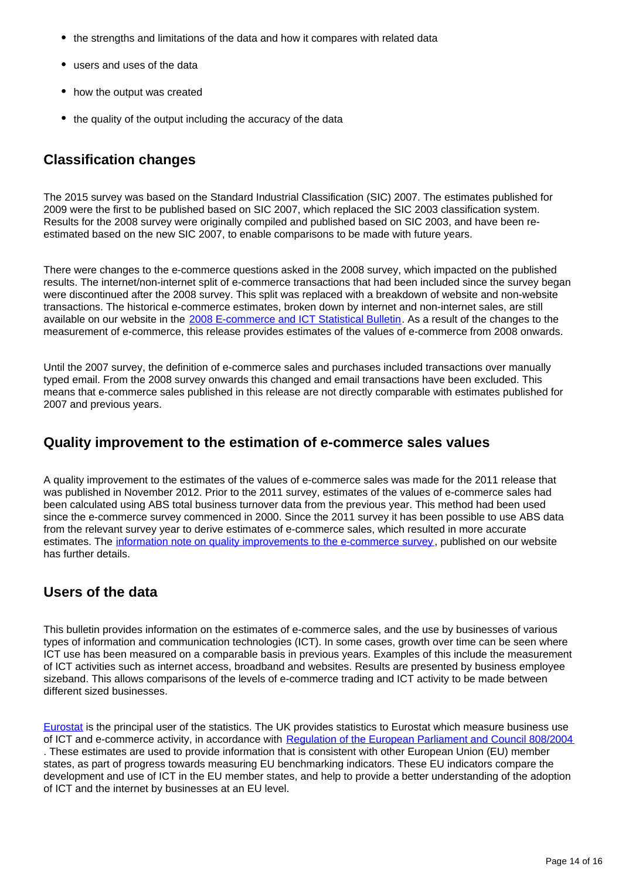- the strengths and limitations of the data and how it compares with related data
- users and uses of the data
- how the output was created
- the quality of the output including the accuracy of the data

### **Classification changes**

The 2015 survey was based on the Standard Industrial Classification (SIC) 2007. The estimates published for 2009 were the first to be published based on SIC 2007, which replaced the SIC 2003 classification system. Results for the 2008 survey were originally compiled and published based on SIC 2003, and have been reestimated based on the new SIC 2007, to enable comparisons to be made with future years.

There were changes to the e-commerce questions asked in the 2008 survey, which impacted on the published results. The internet/non-internet split of e-commerce transactions that had been included since the survey began were discontinued after the 2008 survey. This split was replaced with a breakdown of website and non-website transactions. The historical e-commerce estimates, broken down by internet and non-internet sales, are still available on our website in the [2008 E-commerce and ICT Statistical Bulletin.](http://www.ons.gov.uk/ons/rel/rdit2/ict-activity-of-uk-businesses/2008-edition/index.html) As a result of the changes to the measurement of e-commerce, this release provides estimates of the values of e-commerce from 2008 onwards.

Until the 2007 survey, the definition of e-commerce sales and purchases included transactions over manually typed email. From the 2008 survey onwards this changed and email transactions have been excluded. This means that e-commerce sales published in this release are not directly comparable with estimates published for 2007 and previous years.

### **Quality improvement to the estimation of e-commerce sales values**

A quality improvement to the estimates of the values of e-commerce sales was made for the 2011 release that was published in November 2012. Prior to the 2011 survey, estimates of the values of e-commerce sales had been calculated using ABS total business turnover data from the previous year. This method had been used since the e-commerce survey commenced in 2000. Since the 2011 survey it has been possible to use ABS data from the relevant survey year to derive estimates of e-commerce sales, which resulted in more accurate estimates. The [information note on quality improvements to the e-commerce survey](http://www.ons.gov.uk/ons/guide-method/method-quality/specific/business-and-energy/e-commerce-and-ict-activity/information-note-on-quality-improvments-on-the-e-commerce-survey.pdf), published on our website has further details.

### **Users of the data**

This bulletin provides information on the estimates of e-commerce sales, and the use by businesses of various types of information and communication technologies (ICT). In some cases, growth over time can be seen where ICT use has been measured on a comparable basis in previous years. Examples of this include the measurement of ICT activities such as internet access, broadband and websites. Results are presented by business employee sizeband. This allows comparisons of the levels of e-commerce trading and ICT activity to be made between different sized businesses.

[Eurostat](http://ec.europa.eu/eurostat/statistics-explained/index.php/Main_Page) is the principal user of the statistics. The UK provides statistics to Eurostat which measure business use of ICT and e-commerce activity, in accordance with [Regulation of the European Parliament and Council 808/2004](http://eur-lex.europa.eu/LexUriServ/LexUriServ.do?uri=OJ:L:2004:143:0049:0055:EN:PDF) . These estimates are used to provide information that is consistent with other European Union (EU) member states, as part of progress towards measuring EU benchmarking indicators. These EU indicators compare the development and use of ICT in the EU member states, and help to provide a better understanding of the adoption of ICT and the internet by businesses at an EU level.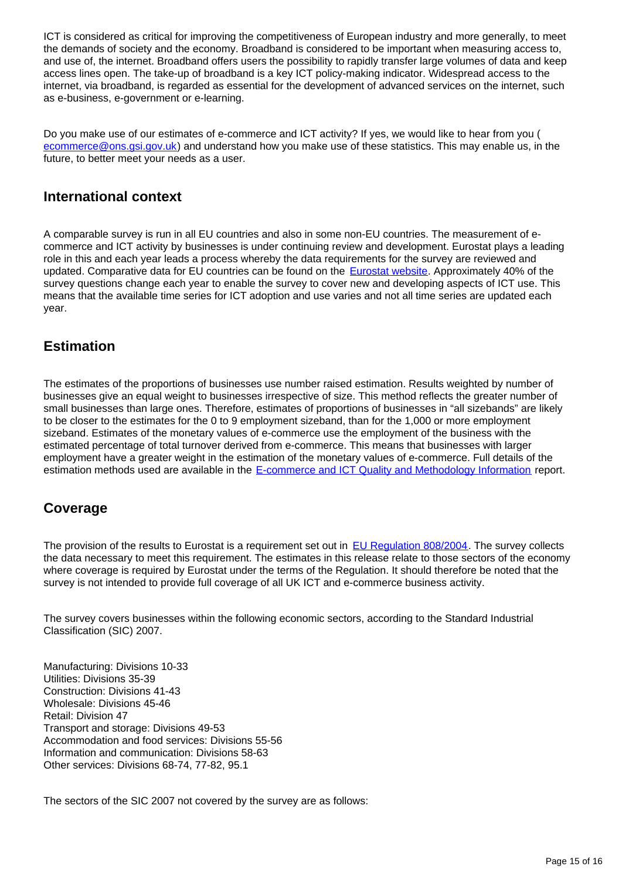ICT is considered as critical for improving the competitiveness of European industry and more generally, to meet the demands of society and the economy. Broadband is considered to be important when measuring access to, and use of, the internet. Broadband offers users the possibility to rapidly transfer large volumes of data and keep access lines open. The take-up of broadband is a key ICT policy-making indicator. Widespread access to the internet, via broadband, is regarded as essential for the development of advanced services on the internet, such as e-business, e-government or e-learning.

Do you make use of our estimates of e-commerce and ICT activity? If yes, we would like to hear from you ( ecommerce@ons.gsi.gov.uk) and understand how you make use of these statistics. This may enable us, in the future, to better meet your needs as a user.

### **International context**

A comparable survey is run in all EU countries and also in some non-EU countries. The measurement of ecommerce and ICT activity by businesses is under continuing review and development. Eurostat plays a leading role in this and each year leads a process whereby the data requirements for the survey are reviewed and updated. Comparative data for EU countries can be found on the [Eurostat website.](http://epp.eurostat.ec.europa.eu/statistics_explained/index.php/Information_society_statistics) Approximately 40% of the survey questions change each year to enable the survey to cover new and developing aspects of ICT use. This means that the available time series for ICT adoption and use varies and not all time series are updated each year.

### **Estimation**

The estimates of the proportions of businesses use number raised estimation. Results weighted by number of businesses give an equal weight to businesses irrespective of size. This method reflects the greater number of small businesses than large ones. Therefore, estimates of proportions of businesses in "all sizebands" are likely to be closer to the estimates for the 0 to 9 employment sizeband, than for the 1,000 or more employment sizeband. Estimates of the monetary values of e-commerce use the employment of the business with the estimated percentage of total turnover derived from e-commerce. This means that businesses with larger employment have a greater weight in the estimation of the monetary values of e-commerce. Full details of the estimation methods used are available in the [E-commerce and ICT Quality and Methodology Information](http://www.ons.gov.uk/ons/guide-method/method-quality/quality/quality-information/economy/quality-and-methodology-information-for-e-commerce-and-ict-activity-of-uk-businesses.pdf) report.

### **Coverage**

The provision of the results to Eurostat is a requirement set out in [EU Regulation 808/2004](http://eur-lex.europa.eu/LexUriServ/LexUriServ.do?uri=OJ:L:2004:143:0049:0055:EN:PDF). The survey collects the data necessary to meet this requirement. The estimates in this release relate to those sectors of the economy where coverage is required by Eurostat under the terms of the Regulation. It should therefore be noted that the survey is not intended to provide full coverage of all UK ICT and e-commerce business activity.

The survey covers businesses within the following economic sectors, according to the Standard Industrial Classification (SIC) 2007.

Manufacturing: Divisions 10-33 Utilities: Divisions 35-39 Construction: Divisions 41-43 Wholesale: Divisions 45-46 Retail: Division 47 Transport and storage: Divisions 49-53 Accommodation and food services: Divisions 55-56 Information and communication: Divisions 58-63 Other services: Divisions 68-74, 77-82, 95.1

The sectors of the SIC 2007 not covered by the survey are as follows: